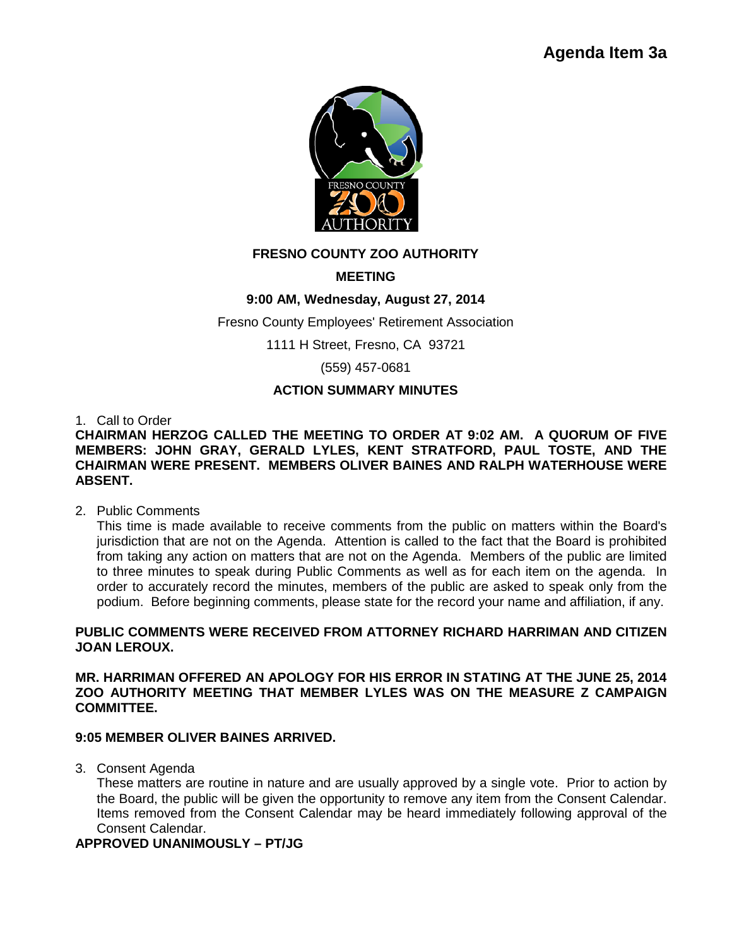

# **FRESNO COUNTY ZOO AUTHORITY**

## **MEETING**

## **9:00 AM, Wednesday, August 27, 2014**

Fresno County Employees' Retirement Association

1111 H Street, Fresno, CA 93721

(559) 457-0681

## **ACTION SUMMARY MINUTES**

1. Call to Order

**CHAIRMAN HERZOG CALLED THE MEETING TO ORDER AT 9:02 AM. A QUORUM OF FIVE MEMBERS: JOHN GRAY, GERALD LYLES, KENT STRATFORD, PAUL TOSTE, AND THE CHAIRMAN WERE PRESENT. MEMBERS OLIVER BAINES AND RALPH WATERHOUSE WERE ABSENT.**

2. Public Comments

This time is made available to receive comments from the public on matters within the Board's jurisdiction that are not on the Agenda. Attention is called to the fact that the Board is prohibited from taking any action on matters that are not on the Agenda. Members of the public are limited to three minutes to speak during Public Comments as well as for each item on the agenda. In order to accurately record the minutes, members of the public are asked to speak only from the podium. Before beginning comments, please state for the record your name and affiliation, if any.

### **PUBLIC COMMENTS WERE RECEIVED FROM ATTORNEY RICHARD HARRIMAN AND CITIZEN JOAN LEROUX.**

**MR. HARRIMAN OFFERED AN APOLOGY FOR HIS ERROR IN STATING AT THE JUNE 25, 2014 ZOO AUTHORITY MEETING THAT MEMBER LYLES WAS ON THE MEASURE Z CAMPAIGN COMMITTEE.** 

#### **9:05 MEMBER OLIVER BAINES ARRIVED.**

3. Consent Agenda

These matters are routine in nature and are usually approved by a single vote. Prior to action by the Board, the public will be given the opportunity to remove any item from the Consent Calendar. Items removed from the Consent Calendar may be heard immediately following approval of the Consent Calendar.

## **APPROVED UNANIMOUSLY – PT/JG**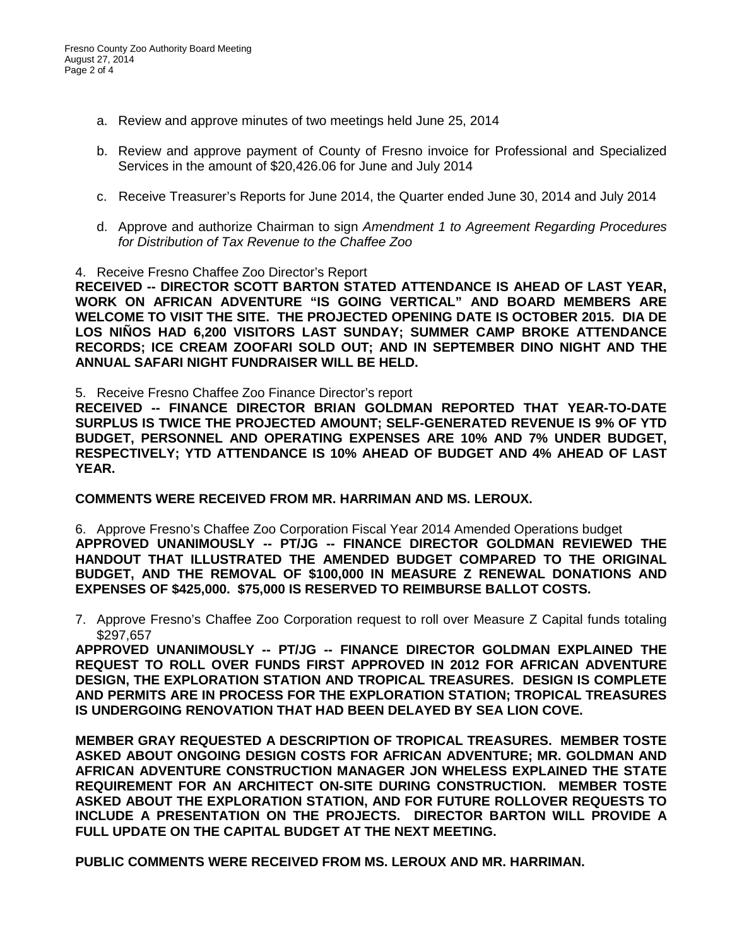- a. Review and approve minutes of two meetings held June 25, 2014
- b. Review and approve payment of County of Fresno invoice for Professional and Specialized Services in the amount of \$20,426.06 for June and July 2014
- c. Receive Treasurer's Reports for June 2014, the Quarter ended June 30, 2014 and July 2014
- d. Approve and authorize Chairman to sign *Amendment 1 to Agreement Regarding Procedures for Distribution of Tax Revenue to the Chaffee Zoo*
- 4. Receive Fresno Chaffee Zoo Director's Report

**RECEIVED -- DIRECTOR SCOTT BARTON STATED ATTENDANCE IS AHEAD OF LAST YEAR, WORK ON AFRICAN ADVENTURE "IS GOING VERTICAL" AND BOARD MEMBERS ARE WELCOME TO VISIT THE SITE. THE PROJECTED OPENING DATE IS OCTOBER 2015. DIA DE LOS NIÑOS HAD 6,200 VISITORS LAST SUNDAY; SUMMER CAMP BROKE ATTENDANCE RECORDS; ICE CREAM ZOOFARI SOLD OUT; AND IN SEPTEMBER DINO NIGHT AND THE ANNUAL SAFARI NIGHT FUNDRAISER WILL BE HELD.**

5. Receive Fresno Chaffee Zoo Finance Director's report

**RECEIVED -- FINANCE DIRECTOR BRIAN GOLDMAN REPORTED THAT YEAR-TO-DATE SURPLUS IS TWICE THE PROJECTED AMOUNT; SELF-GENERATED REVENUE IS 9% OF YTD BUDGET, PERSONNEL AND OPERATING EXPENSES ARE 10% AND 7% UNDER BUDGET, RESPECTIVELY; YTD ATTENDANCE IS 10% AHEAD OF BUDGET AND 4% AHEAD OF LAST YEAR.**

**COMMENTS WERE RECEIVED FROM MR. HARRIMAN AND MS. LEROUX.**

6. Approve Fresno's Chaffee Zoo Corporation Fiscal Year 2014 Amended Operations budget **APPROVED UNANIMOUSLY -- PT/JG -- FINANCE DIRECTOR GOLDMAN REVIEWED THE HANDOUT THAT ILLUSTRATED THE AMENDED BUDGET COMPARED TO THE ORIGINAL BUDGET, AND THE REMOVAL OF \$100,000 IN MEASURE Z RENEWAL DONATIONS AND EXPENSES OF \$425,000. \$75,000 IS RESERVED TO REIMBURSE BALLOT COSTS.**

7. Approve Fresno's Chaffee Zoo Corporation request to roll over Measure Z Capital funds totaling \$297,657

**APPROVED UNANIMOUSLY -- PT/JG -- FINANCE DIRECTOR GOLDMAN EXPLAINED THE REQUEST TO ROLL OVER FUNDS FIRST APPROVED IN 2012 FOR AFRICAN ADVENTURE DESIGN, THE EXPLORATION STATION AND TROPICAL TREASURES. DESIGN IS COMPLETE AND PERMITS ARE IN PROCESS FOR THE EXPLORATION STATION; TROPICAL TREASURES IS UNDERGOING RENOVATION THAT HAD BEEN DELAYED BY SEA LION COVE.**

**MEMBER GRAY REQUESTED A DESCRIPTION OF TROPICAL TREASURES. MEMBER TOSTE ASKED ABOUT ONGOING DESIGN COSTS FOR AFRICAN ADVENTURE; MR. GOLDMAN AND AFRICAN ADVENTURE CONSTRUCTION MANAGER JON WHELESS EXPLAINED THE STATE REQUIREMENT FOR AN ARCHITECT ON-SITE DURING CONSTRUCTION. MEMBER TOSTE ASKED ABOUT THE EXPLORATION STATION, AND FOR FUTURE ROLLOVER REQUESTS TO INCLUDE A PRESENTATION ON THE PROJECTS. DIRECTOR BARTON WILL PROVIDE A FULL UPDATE ON THE CAPITAL BUDGET AT THE NEXT MEETING.** 

**PUBLIC COMMENTS WERE RECEIVED FROM MS. LEROUX AND MR. HARRIMAN.**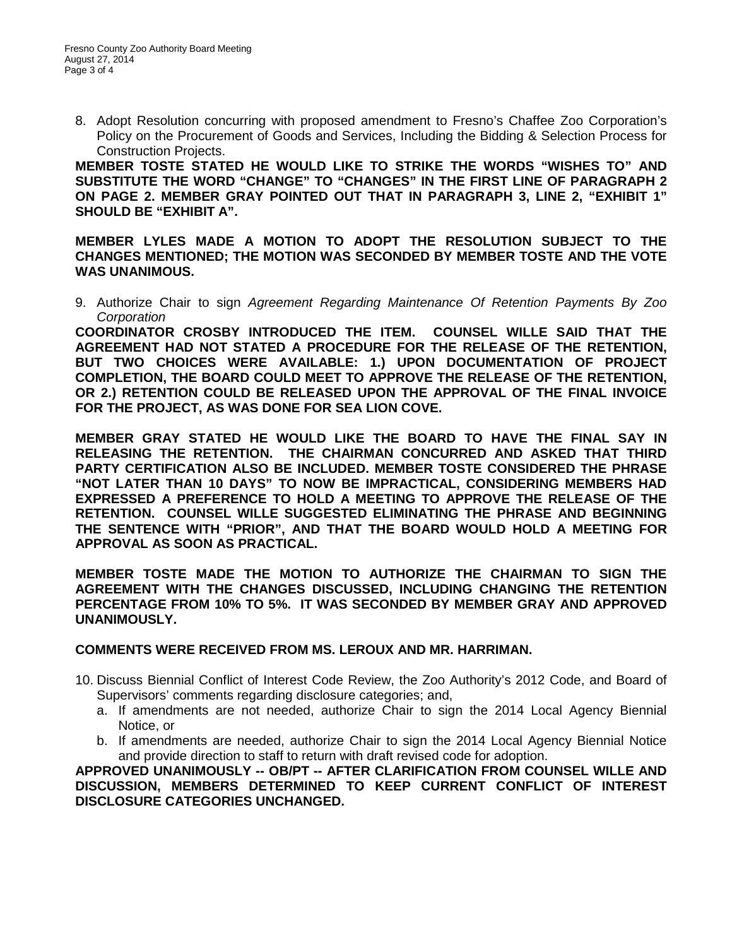8. Adopt Resolution concurring with proposed amendment to Fresno's Chaffee Zoo Corporation's Policy on the Procurement of Goods and Services, Including the Bidding & Selection Process for Construction Projects.

**MEMBER TOSTE STATED HE WOULD LIKE TO STRIKE THE WORDS "WISHES TO" AND SUBSTITUTE THE WORD "CHANGE" TO "CHANGES" IN THE FIRST LINE OF PARAGRAPH 2 ON PAGE 2. MEMBER GRAY POINTED OUT THAT IN PARAGRAPH 3, LINE 2, "EXHIBIT 1" SHOULD BE "EXHIBIT A".** 

**MEMBER LYLES MADE A MOTION TO ADOPT THE RESOLUTION SUBJECT TO THE CHANGES MENTIONED; THE MOTION WAS SECONDED BY MEMBER TOSTE AND THE VOTE WAS UNANIMOUS.**

9. Authorize Chair to sign *Agreement Regarding Maintenance Of Retention Payments By Zoo Corporation*

**COORDINATOR CROSBY INTRODUCED THE ITEM. COUNSEL WILLE SAID THAT THE AGREEMENT HAD NOT STATED A PROCEDURE FOR THE RELEASE OF THE RETENTION, BUT TWO CHOICES WERE AVAILABLE: 1.) UPON DOCUMENTATION OF PROJECT COMPLETION, THE BOARD COULD MEET TO APPROVE THE RELEASE OF THE RETENTION, OR 2.) RETENTION COULD BE RELEASED UPON THE APPROVAL OF THE FINAL INVOICE FOR THE PROJECT, AS WAS DONE FOR SEA LION COVE.** 

**MEMBER GRAY STATED HE WOULD LIKE THE BOARD TO HAVE THE FINAL SAY IN RELEASING THE RETENTION. THE CHAIRMAN CONCURRED AND ASKED THAT THIRD PARTY CERTIFICATION ALSO BE INCLUDED. MEMBER TOSTE CONSIDERED THE PHRASE "NOT LATER THAN 10 DAYS" TO NOW BE IMPRACTICAL, CONSIDERING MEMBERS HAD EXPRESSED A PREFERENCE TO HOLD A MEETING TO APPROVE THE RELEASE OF THE RETENTION. COUNSEL WILLE SUGGESTED ELIMINATING THE PHRASE AND BEGINNING THE SENTENCE WITH "PRIOR", AND THAT THE BOARD WOULD HOLD A MEETING FOR APPROVAL AS SOON AS PRACTICAL.** 

**MEMBER TOSTE MADE THE MOTION TO AUTHORIZE THE CHAIRMAN TO SIGN THE AGREEMENT WITH THE CHANGES DISCUSSED, INCLUDING CHANGING THE RETENTION PERCENTAGE FROM 10% TO 5%. IT WAS SECONDED BY MEMBER GRAY AND APPROVED UNANIMOUSLY.** 

#### **COMMENTS WERE RECEIVED FROM MS. LEROUX AND MR. HARRIMAN.**

- 10. Discuss Biennial Conflict of Interest Code Review, the Zoo Authority's 2012 Code, and Board of Supervisors' comments regarding disclosure categories; and,
	- a. If amendments are not needed, authorize Chair to sign the 2014 Local Agency Biennial Notice, or
	- b. If amendments are needed, authorize Chair to sign the 2014 Local Agency Biennial Notice and provide direction to staff to return with draft revised code for adoption.

**APPROVED UNANIMOUSLY -- OB/PT -- AFTER CLARIFICATION FROM COUNSEL WILLE AND DISCUSSION, MEMBERS DETERMINED TO KEEP CURRENT CONFLICT OF INTEREST DISCLOSURE CATEGORIES UNCHANGED.**